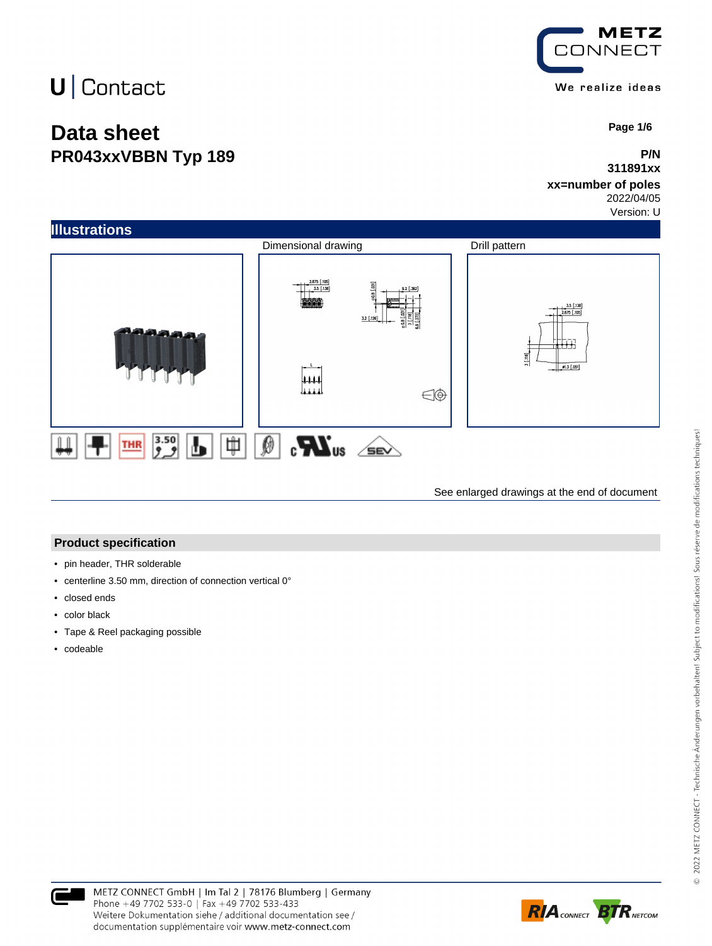### **Data sheet PR043xxVBBN Typ 189**



 **Page 1/6**

#### **P/N 311891xx**

### **xx=number of poles**

2022/04/05

Version: U



See enlarged drawings at the end of document

#### **Product specification**

- pin header, THR solderable
- centerline 3.50 mm, direction of connection vertical 0°
- closed ends
- color black
- Tape & Reel packaging possible
- codeable

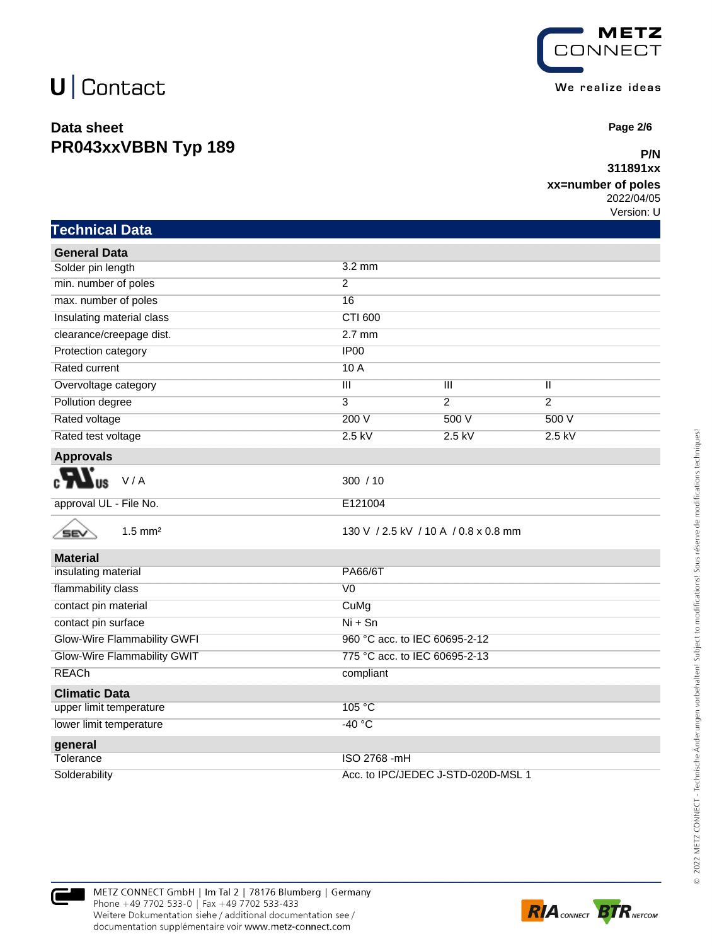**Technical Data**

### **Data sheet PR043xxVBBN Typ 189**



 **Page 2/6**

#### **P/N 311891xx**

### **xx=number of poles**

2022/04/05 Version: U

| <b>General Data</b>                |                                      |                |                |  |
|------------------------------------|--------------------------------------|----------------|----------------|--|
| Solder pin length                  | $3.2 \text{ mm}$                     |                |                |  |
| min. number of poles               | $\overline{2}$                       |                |                |  |
| max. number of poles               | 16                                   |                |                |  |
| Insulating material class          | <b>CTI 600</b>                       |                |                |  |
| clearance/creepage dist.           | $2.7$ mm                             |                |                |  |
| Protection category                | IP <sub>00</sub>                     |                |                |  |
| Rated current                      | 10A                                  |                |                |  |
| Overvoltage category               | $\overline{\mathbb{H}}$              | Ш              | Π              |  |
| Pollution degree                   | $\overline{3}$                       | $\overline{2}$ | $\overline{2}$ |  |
| Rated voltage                      | 200 V                                | 500 V          | 500 V          |  |
| Rated test voltage                 | $2.5$ kV                             | $2.5$ kV       | $2.5$ kV       |  |
| <b>Approvals</b>                   |                                      |                |                |  |
| V/A                                | 300 / 10                             |                |                |  |
| approval UL - File No.             | E121004                              |                |                |  |
| $1.5$ mm <sup>2</sup><br>SEV       | 130 V / 2.5 kV / 10 A / 0.8 x 0.8 mm |                |                |  |
| <b>Material</b>                    |                                      |                |                |  |
| insulating material                | PA66/6T                              |                |                |  |
| flammability class                 | $\overline{V}0$                      |                |                |  |
| contact pin material               | CuMg                                 |                |                |  |
| contact pin surface                | $Ni + Sn$                            |                |                |  |
| <b>Glow-Wire Flammability GWFI</b> | 960 °C acc. to IEC 60695-2-12        |                |                |  |
| <b>Glow-Wire Flammability GWIT</b> | 775 °C acc. to IEC 60695-2-13        |                |                |  |
| <b>REACh</b>                       | compliant                            |                |                |  |
| <b>Climatic Data</b>               |                                      |                |                |  |
| upper limit temperature            | 105 °C                               |                |                |  |
| lower limit temperature            | $-40 °C$                             |                |                |  |
| general                            |                                      |                |                |  |
| Tolerance                          | ISO 2768 -mH                         |                |                |  |

Solderability Acc. to IPC/JEDEC J-STD-020D-MSL 1



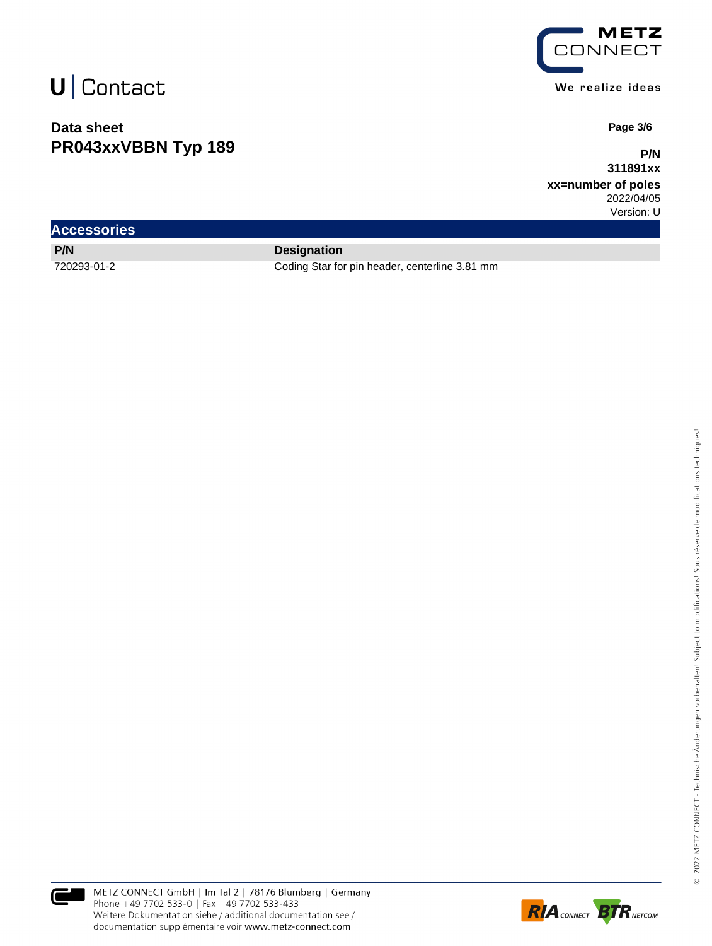### **Data sheet PR043xxVBBN Typ 189**



 **Page 3/6**

**P/N 311891xx**

**xx=number of poles** 2022/04/05

Version: U

| <b>Accessories</b> |                                                |
|--------------------|------------------------------------------------|
| P/N                | <b>Designation</b>                             |
| 720293-01-2        | Coding Star for pin header, centerline 3.81 mm |



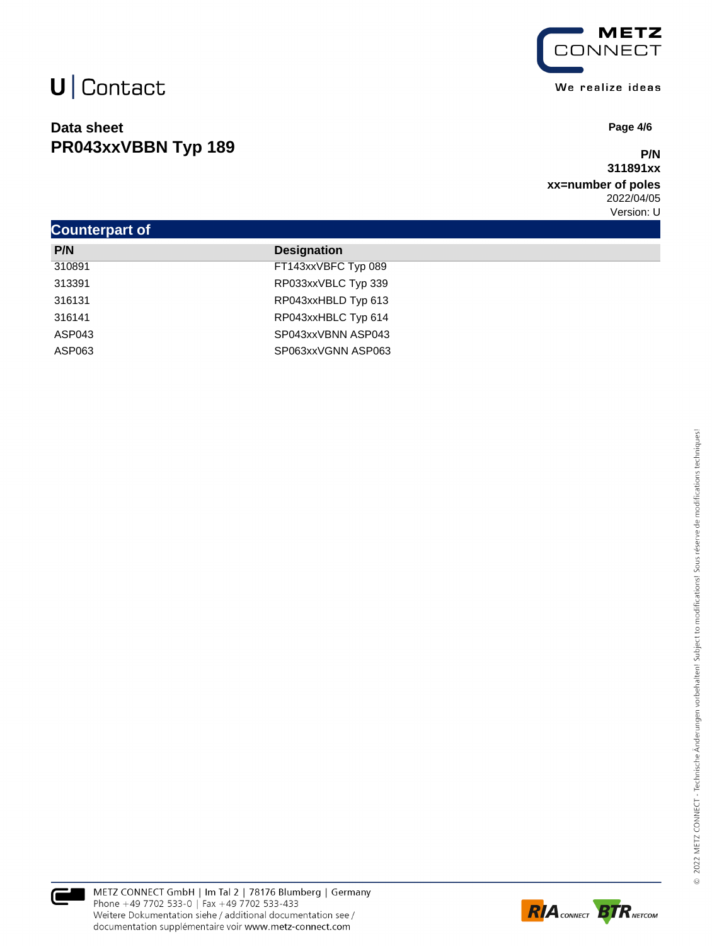### **Data sheet PR043xxVBBN Typ 189**



 **Page 4/6**

#### **P/N 311891xx**

### **xx=number of poles** 2022/04/05

|                       |                     | Version: U |  |  |
|-----------------------|---------------------|------------|--|--|
| <b>Counterpart of</b> |                     |            |  |  |
| P/N                   | <b>Designation</b>  |            |  |  |
| 310891                | FT143xxVBFC Typ 089 |            |  |  |
| 313391                | RP033xxVBLC Typ 339 |            |  |  |
| 316131                | RP043xxHBLD Typ 613 |            |  |  |
| 316141                | RP043xxHBLC Typ 614 |            |  |  |
| ASP043                | SP043xxVBNN ASP043  |            |  |  |
| ASP063                | SP063xxVGNN ASP063  |            |  |  |



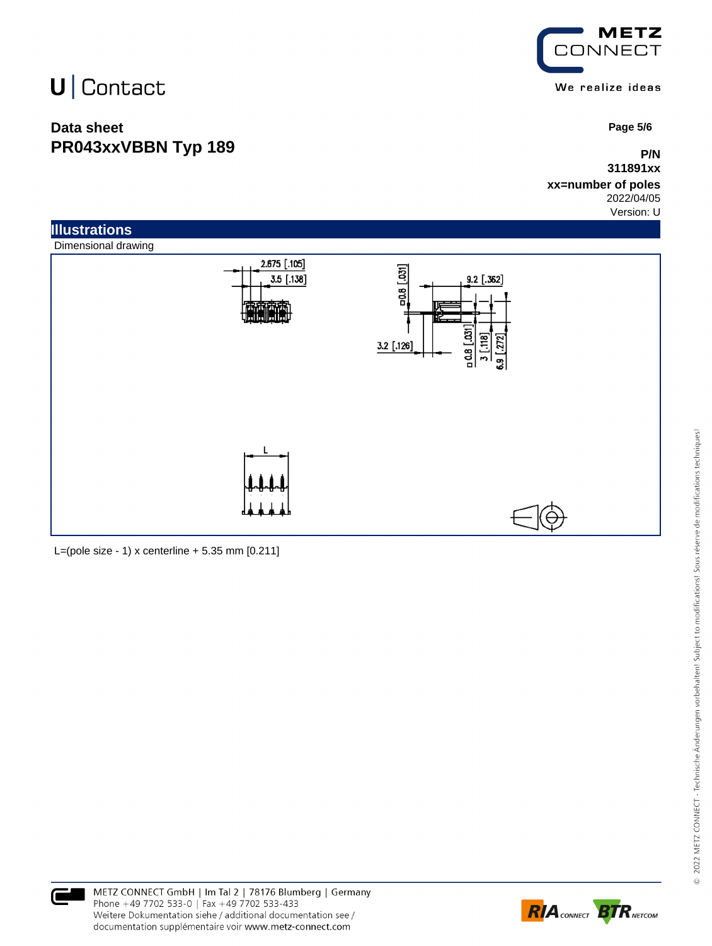### **Data sheet PR043xxVBBN Typ 189**



 **Page 5/6**

### **P/N 311891xx**

#### **xx=number of poles** 2022/04/05

Version: U



L=(pole size - 1) x centerline  $+ 5.35$  mm  $[0.211]$